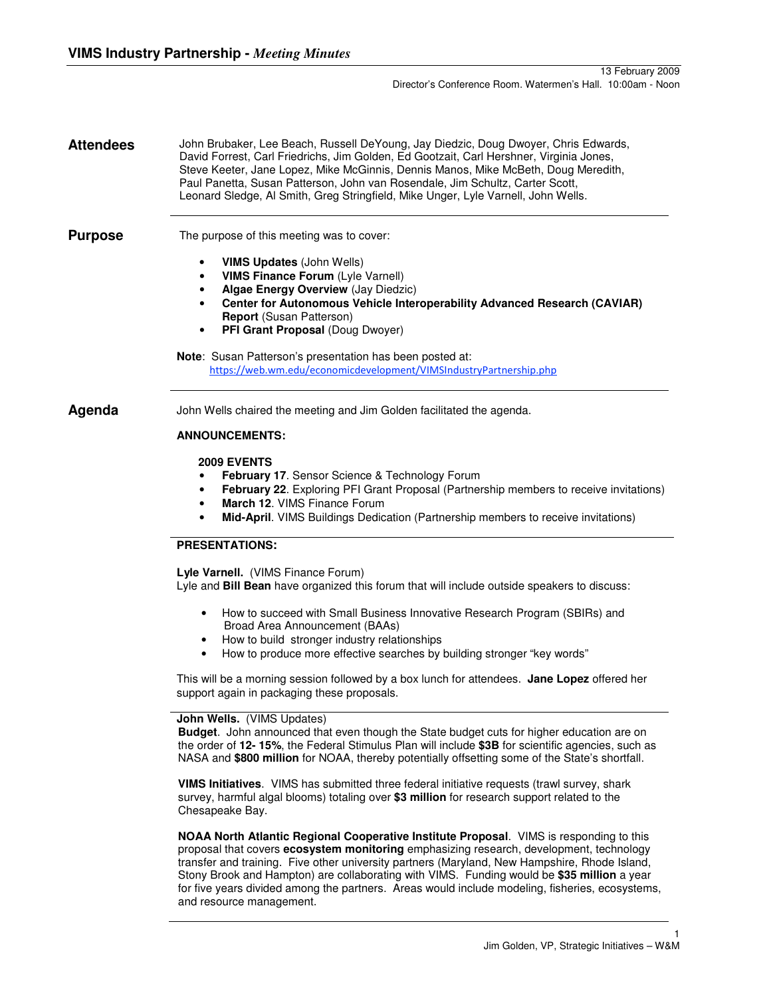**Attendees** John Brubaker, Lee Beach, Russell DeYoung, Jay Diedzic, Doug Dwoyer, Chris Edwards, David Forrest, Carl Friedrichs, Jim Golden, Ed Gootzait, Carl Hershner, Virginia Jones, Steve Keeter, Jane Lopez, Mike McGinnis, Dennis Manos, Mike McBeth, Doug Meredith, Paul Panetta, Susan Patterson, John van Rosendale, Jim Schultz, Carter Scott, Leonard Sledge, Al Smith, Greg Stringfield, Mike Unger, Lyle Varnell, John Wells.

**Purpose** The purpose of this meeting was to cover:

- **VIMS Updates** (John Wells)
- **VIMS Finance Forum** (Lyle Varnell)
- **Algae Energy Overview** (Jay Diedzic)
- **Center for Autonomous Vehicle Interoperability Advanced Research (CAVIAR) Report** (Susan Patterson)
- **PFI Grant Proposal** (Doug Dwoyer)

**Note**: Susan Patterson's presentation has been posted at: https://web.wm.edu/economicdevelopment/VIMSIndustryPartnership.php

**Agenda** John Wells chaired the meeting and Jim Golden facilitated the agenda.

# **ANNOUNCEMENTS:**

## **2009 EVENTS**

- **February 17. Sensor Science & Technology Forum**
- **February 22**. Exploring PFI Grant Proposal (Partnership members to receive invitations)
- **March 12**. VIMS Finance Forum
- **Mid-April**. VIMS Buildings Dedication (Partnership members to receive invitations)

## **PRESENTATIONS:**

**Lyle Varnell.** (VIMS Finance Forum)

Lyle and **Bill Bean** have organized this forum that will include outside speakers to discuss:

- How to succeed with Small Business Innovative Research Program (SBIRs) and Broad Area Announcement (BAAs)
- How to build stronger industry relationships
- How to produce more effective searches by building stronger "key words"

This will be a morning session followed by a box lunch for attendees. **Jane Lopez** offered her support again in packaging these proposals.

## **John Wells.** (VIMS Updates)

**Budget**. John announced that even though the State budget cuts for higher education are on the order of **12- 15%**, the Federal Stimulus Plan will include **\$3B** for scientific agencies, such as NASA and **\$800 million** for NOAA, thereby potentially offsetting some of the State's shortfall.

**VIMS Initiatives**. VIMS has submitted three federal initiative requests (trawl survey, shark survey, harmful algal blooms) totaling over **\$3 million** for research support related to the Chesapeake Bay.

**NOAA North Atlantic Regional Cooperative Institute Proposal**. VIMS is responding to this proposal that covers **ecosystem monitoring** emphasizing research, development, technology transfer and training. Five other university partners (Maryland, New Hampshire, Rhode Island, Stony Brook and Hampton) are collaborating with VIMS. Funding would be **\$35 million** a year for five years divided among the partners. Areas would include modeling, fisheries, ecosystems, and resource management.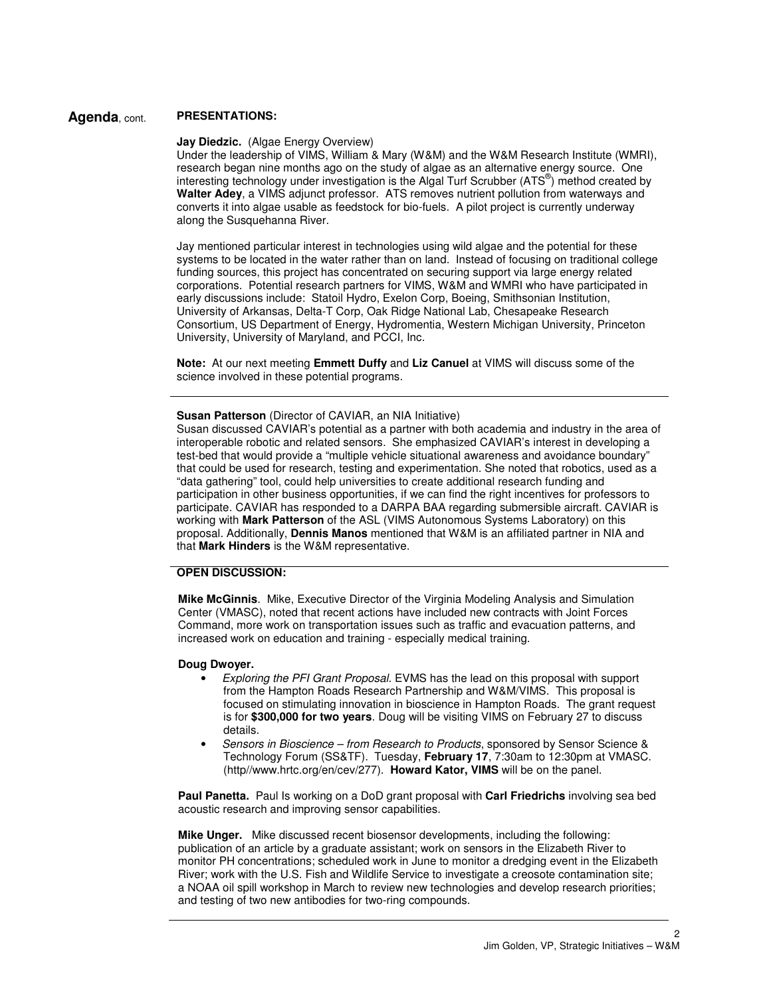## **Agenda**, cont. **PRESENTATIONS:**

## **Jay Diedzic.** (Algae Energy Overview)

Under the leadership of VIMS, William & Mary (W&M) and the W&M Research Institute (WMRI), research began nine months ago on the study of algae as an alternative energy source. One interesting technology under investigation is the Algal Turf Scrubber (ATS®) method created by Walter Adey, a VIMS adjunct professor. ATS removes nutrient pollution from waterways and converts it into algae usable as feedstock for bio-fuels. A pilot project is currently underway along the Susquehanna River.

Jay mentioned particular interest in technologies using wild algae and the potential for these systems to be located in the water rather than on land. Instead of focusing on traditional college funding sources, this project has concentrated on securing support via large energy related corporations. Potential research partners for VIMS, W&M and WMRI who have participated in early discussions include: Statoil Hydro, Exelon Corp, Boeing, Smithsonian Institution, University of Arkansas, Delta-T Corp, Oak Ridge National Lab, Chesapeake Research Consortium, US Department of Energy, Hydromentia, Western Michigan University, Princeton University, University of Maryland, and PCCI, Inc.

**Note:** At our next meeting **Emmett Duffy** and **Liz Canuel** at VIMS will discuss some of the science involved in these potential programs.

## **Susan Patterson** (Director of CAVIAR, an NIA Initiative)

Susan discussed CAVIAR's potential as a partner with both academia and industry in the area of interoperable robotic and related sensors. She emphasized CAVIAR's interest in developing a test-bed that would provide a "multiple vehicle situational awareness and avoidance boundary" that could be used for research, testing and experimentation. She noted that robotics, used as a "data gathering" tool, could help universities to create additional research funding and participation in other business opportunities, if we can find the right incentives for professors to participate. CAVIAR has responded to a DARPA BAA regarding submersible aircraft. CAVIAR is working with **Mark Patterson** of the ASL (VIMS Autonomous Systems Laboratory) on this proposal. Additionally, **Dennis Manos** mentioned that W&M is an affiliated partner in NIA and that **Mark Hinders** is the W&M representative.

## **OPEN DISCUSSION:**

**Mike McGinnis**. Mike, Executive Director of the Virginia Modeling Analysis and Simulation Center (VMASC), noted that recent actions have included new contracts with Joint Forces Command, more work on transportation issues such as traffic and evacuation patterns, and increased work on education and training - especially medical training.

#### **Doug Dwoyer.**

- Exploring the PFI Grant Proposal. EVMS has the lead on this proposal with support from the Hampton Roads Research Partnership and W&M/VIMS. This proposal is focused on stimulating innovation in bioscience in Hampton Roads. The grant request is for **\$300,000 for two years**. Doug will be visiting VIMS on February 27 to discuss details.
- Sensors in Bioscience from Research to Products, sponsored by Sensor Science & Technology Forum (SS&TF). Tuesday, **February 17**, 7:30am to 12:30pm at VMASC. (http//www.hrtc.org/en/cev/277). **Howard Kator, VIMS** will be on the panel.

**Paul Panetta.** Paul Is working on a DoD grant proposal with **Carl Friedrichs** involving sea bed acoustic research and improving sensor capabilities.

**Mike Unger.** Mike discussed recent biosensor developments, including the following: publication of an article by a graduate assistant; work on sensors in the Elizabeth River to monitor PH concentrations; scheduled work in June to monitor a dredging event in the Elizabeth River; work with the U.S. Fish and Wildlife Service to investigate a creosote contamination site; a NOAA oil spill workshop in March to review new technologies and develop research priorities; and testing of two new antibodies for two-ring compounds.